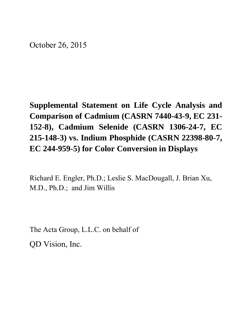October 26, 2015

**Supplemental Statement on Life Cycle Analysis and Comparison of Cadmium (CASRN 7440-43-9, EC 231- 152-8), Cadmium Selenide (CASRN 1306-24-7, EC 215-148-3) vs. Indium Phosphide (CASRN 22398-80-7, EC 244-959-5) for Color Conversion in Displays** 

Richard E. Engler, Ph.D.; Leslie S. MacDougall, J. Brian Xu, M.D., Ph.D.; and Jim Willis

The Acta Group, L.L.C. on behalf of QD Vision, Inc.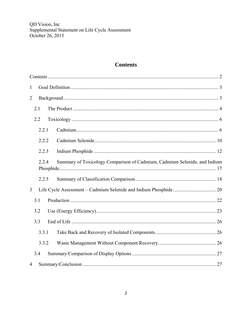# **Contents**

| $\mathbf{1}$   |       |  |                                                                           |  |
|----------------|-------|--|---------------------------------------------------------------------------|--|
| $\overline{2}$ |       |  |                                                                           |  |
|                | 2.1   |  |                                                                           |  |
|                | 2.2   |  |                                                                           |  |
|                | 2.2.1 |  |                                                                           |  |
|                | 2.2.2 |  |                                                                           |  |
|                | 2.2.3 |  |                                                                           |  |
|                | 2.2.4 |  | Summary of Toxicology Comparison of Cadmium, Cadmium Selenide, and Indium |  |
|                | 2.2.5 |  |                                                                           |  |
| 3              |       |  |                                                                           |  |
|                | 3.1   |  |                                                                           |  |
|                | 3.2   |  |                                                                           |  |
|                | 3.3   |  |                                                                           |  |
|                | 3.3.1 |  |                                                                           |  |
|                | 3.3.2 |  |                                                                           |  |
|                | 3.4   |  |                                                                           |  |
| $\overline{4}$ |       |  |                                                                           |  |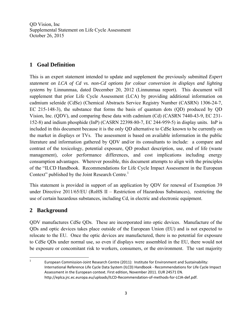### **1 Goal Definition**

This is an expert statement intended to update and supplement the previously submitted *Expert statement on LCA of Cd vs. non-Cd options for colour conversion in displays and lighting systems* by Linnunmaa, dated December 20, 2012 (Linnunmaa report). This document will supplement that prior Life Cycle Assessment (LCA) by providing additional information on cadmium selenide (CdSe) (Chemical Abstracts Service Registry Number (CASRN) 1306-24-7, EC 215-148-3), the substance that forms the basis of quantum dots (QD) produced by QD Vision, Inc. (QDV), and comparing these data with cadmium (Cd) (CASRN 7440-43-9, EC 231- 152-8) and indium phosphide (InP) (CASRN 22398-80-7, EC 244-959-5) in display units. InP is included in this document because it is the only QD alternative to CdSe known to be currently on the market in displays or TVs. The assessment is based on available information in the public literature and information gathered by QDV and/or its consultants to include: a compare and contrast of the toxicology, potential exposure, QD product description, use, end of life (waste management), color performance differences, and cost implications including energy consumption advantages. Wherever possible, this document attempts to align with the principles of the "ILCD Handbook. Recommendations for Life Cycle Impact Assessment in the European Context" published by the Joint Research Centre.<sup>1</sup>

This statement is provided in support of an application by QDV for renewal of Exemption 39 under Directive 2011/65/EU (RoHS II – Restriction of Hazardous Substances), restricting the use of certain hazardous substances, including Cd, in electric and electronic equipment.

### **2 Background**

QDV manufactures CdSe QDs. These are incorporated into optic devices. Manufacture of the QDs and optic devices takes place outside of the European Union (EU) and is not expected to relocate to the EU. Once the optic devices are manufactured, there is no potential for exposure to CdSe QDs under normal use, so even if displays were assembled in the EU, there would not be exposure or concomitant risk to workers, consumers, or the environment. The vast majority

 1 European Commission‐Joint Research Centre (2011): Institute for Environment and Sustainability: International Reference Life Cycle Data System (ILCD) Handbook ‐ Recommendations for Life Cycle Impact Assessment in the European context. First edition, November 2011. EUR 24571 EN. http://eplca.jrc.ec.europa.eu/uploads/ILCD‐Recommendation‐of‐methods‐for‐LCIA‐def.pdf.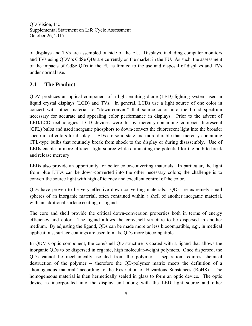of displays and TVs are assembled outside of the EU. Displays, including computer monitors and TVs using QDV's CdSe QDs are currently on the market in the EU. As such, the assessment of the impacts of CdSe QDs in the EU is limited to the use and disposal of displays and TVs under normal use.

## **2.1 The Product**

QDV produces an optical component of a light-emitting diode (LED) lighting system used in liquid crystal displays (LCD) and TVs. In general, LCDs use a light source of one color in concert with other material to "down-convert" that source color into the broad spectrum necessary for accurate and appealing color performance in displays. Prior to the advent of LED/LCD technologies, LCD devices were lit by mercury-containing compact fluorescent (CFL) bulbs and used inorganic phosphors to down-convert the fluorescent light into the broader spectrum of colors for display. LEDs are solid state and more durable than mercury-containing CFL-type bulbs that routinely break from shock to the display or during disassembly. Use of LEDs enables a more efficient light source while eliminating the potential for the bulb to break and release mercury.

LEDs also provide an opportunity for better color-converting materials. In particular, the light from blue LEDs can be down-converted into the other necessary colors; the challenge is to convert the source light with high efficiency and excellent control of the color.

QDs have proven to be very effective down-converting materials. QDs are extremely small spheres of an inorganic material, often contained within a shell of another inorganic material, with an additional surface coating, or ligand.

The core and shell provide the critical down-conversion properties both in terms of energy efficiency and color. The ligand allows the core/shell structure to be dispersed in another medium. By adjusting the ligand, QDs can be made more or less biocompatible, *e.g*., in medical applications, surface coatings are used to make QDs more biocompatible.

In QDV's optic component, the core/shell QD structure is coated with a ligand that allows the inorganic QDs to be dispersed in organic, high molecular-weight polymers. Once dispersed, the QDs cannot be mechanically isolated from the polymer -- separation requires chemical destruction of the polymer -- therefore the QD-polymer matrix meets the definition of a "homogenous material" according to the Restriction of Hazardous Substances (RoHS). The homogeneous material is then hermetically sealed in glass to form an optic device. The optic device is incorporated into the display unit along with the LED light source and other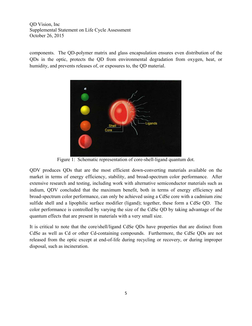components. The QD-polymer matrix and glass encapsulation ensures even distribution of the QDs in the optic, protects the QD from environmental degradation from oxygen, heat, or humidity, and prevents releases of, or exposures to, the QD material.



Figure 1: Schematic representation of core-shell-ligand quantum dot.

QDV produces QDs that are the most efficient down-converting materials available on the market in terms of energy efficiency, stability, and broad-spectrum color performance. After extensive research and testing, including work with alternative semiconductor materials such as indium, QDV concluded that the maximum benefit, both in terms of energy efficiency and broad-spectrum color performance, can only be achieved using a CdSe core with a cadmium zinc sulfide shell and a lipophilic surface modifier (ligand); together, these form a CdSe QD. The color performance is controlled by varying the size of the CdSe QD by taking advantage of the quantum effects that are present in materials with a very small size.

It is critical to note that the core/shell/ligand CdSe QDs have properties that are distinct from CdSe as well as Cd or other Cd-containing compounds. Furthermore, the CdSe QDs are not released from the optic except at end-of-life during recycling or recovery, or during improper disposal, such as incineration.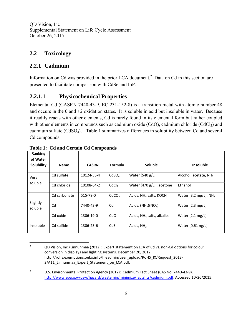### **2.2 Toxicology**

#### **2.2.1 Cadmium**

Information on Cd was provided in the prior LCA document.<sup>2</sup> Data on Cd in this section are presented to facilitate comparison with CdSe and InP.

#### **2.2.1.1 Physicochemical Properties**

Elemental Cd (CASRN 7440-43-9, EC 231-152-8) is a transition metal with atomic number 48 and occurs in the 0 and  $+2$  oxidation states. It is soluble in acid but insoluble in water. Because it readily reacts with other elements, Cd is rarely found in its elemental form but rather coupled with other elements in compounds such as cadmium oxide (CdO), cadmium chloride (CdCl<sub>2</sub>) and cadmium sulfate  $(CdSO<sub>4</sub>)$ <sup>3</sup> Table 1 summarizes differences in solubility between Cd and several Cd compounds.

| Ranking<br>of Water<br><b>Solubility</b> | <b>Name</b>  | <b>CASRN</b> | <b>Formula</b>    | Soluble                            | Insoluble                  |
|------------------------------------------|--------------|--------------|-------------------|------------------------------------|----------------------------|
| Very                                     | Cd sulfate   | 10124-36-4   | CdSO <sub>A</sub> | Water $(540 g/L)$                  | Alcohol, acetate, $NH3$    |
| soluble                                  | Cd chloride  | 10108-64-2   | CdCl <sub>2</sub> | Water (470 g/L), acetone           | Ethanol                    |
| Slightly                                 | Cd carbonate | 515-78-0     | CdCO <sub>3</sub> | Acids, NH <sub>4</sub> salts, KOCN | Water (3.2 mg/L), $NH3$    |
| soluble                                  | Cd           | 7440-43-9    | Cd                | Acids, $(NH4)(NO3)$                | Water $(2.3 \text{ mg/L})$ |
|                                          | Cd oxide     | 1306-19-0    | CdO               | Acids, $NH4$ salts, alkalies       | Water $(2.1 \text{ mg/L})$ |
| Insoluble                                | Cd sulfide   | 1306-23-6    | CdS               | Acids, $NH3$                       | Water (0.61 ng/L)          |

**Table 1: Cd and Certain Cd Compounds** 

<sup>2</sup> QD Vision, Inc./Linnunmaa (2012): Expert statement on LCA of Cd vs. non‐Cd options for colour conversion in displays and lighting systems. December 20, 2012. http://rohs.exemptions.oeko.info/fileadmin/user\_upload/RoHS\_IX/Request\_2013-2/A11\_Linnunmaa\_Expert\_Statement\_on\_LCA.pdf.

<sup>3</sup> U.S. Environmental Protection Agency (2012): Cadmium Fact Sheet (CAS No. 7440‐43‐9). http://www.epa.gov/osw/hazard/wastemin/minimize/factshts/cadmium.pdf. Accessed 10/26/2015.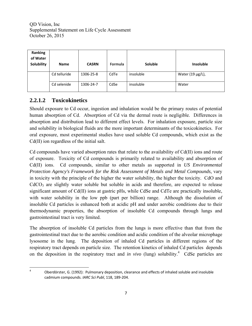| Ranking<br>of Water<br>Solubility | <b>Name</b>  | <b>CASRN</b> | Formula | Soluble   | <b>Insoluble</b> |
|-----------------------------------|--------------|--------------|---------|-----------|------------------|
|                                   | Cd telluride | 1306-25-8    | CdTe    | insoluble | Water (19 µg/L), |
|                                   | Cd selenide  | 1306-24-7    | CdSe    | insoluble | Water            |

## **2.2.1.2 Toxicokinetics**

Should exposure to Cd occur, ingestion and inhalation would be the primary routes of potential human absorption of Cd. Absorption of Cd via the dermal route is negligible. Differences in absorption and distribution lead to different effect levels. For inhalation exposure, particle size and solubility in biological fluids are the more important determinants of the toxicokinetics. For oral exposure, most experimental studies have used soluble Cd compounds, which exist as the Cd(II) ion regardless of the initial salt.

Cd compounds have varied absorption rates that relate to the availability of Cd(II) ions and route of exposure. Toxicity of Cd compounds is primarily related to availability and absorption of Cd(II) ions. Cd compounds, similar to other metals as supported in *US Environmental Protection Agency's Framework for the Risk Assessment of Metals and Metal Compounds,* vary in toxicity with the principle of the higher the water solubility, the higher the toxicity. CdO and CdCO<sub>3</sub> are slightly water soluble but soluble in acids and therefore, are expected to release significant amount of Cd(II) ions at gastric pHs, while CdSe and CdTe are practically insoluble, with water solubility in the low ppb (part per billion) range. Although the dissolution of insoluble Cd particles is enhanced both at acidic pH and under aerobic conditions due to their thermodynamic properties, the absorption of insoluble Cd compounds through lungs and gastrointestinal tract is very limited.

The absorption of insoluble Cd particles from the lungs is more effective than that from the gastrointestinal tract due to the aerobic condition and acidic condition of the alveolar microphage lysosome in the lung. The deposition of inhaled Cd particles in different regions of the respiratory tract depends on particle size. The retention kinetics of inhaled Cd particles depends on the deposition in the respiratory tract and *in vivo* (lung) solubility.<sup>4</sup> CdSe particles are

 4

 Oberdörster, G. (1992): Pulmonary deposition, clearance and effects of inhaled soluble and insoluble cadmium compounds. *IARC Sci Publ*, 118, 189‐204.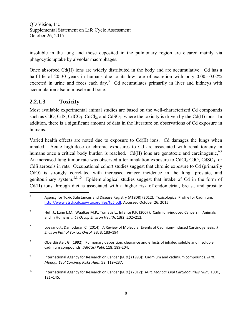insoluble in the lung and those deposited in the pulmonary region are cleared mainly via phagocytic uptake by alveolar macrophages.

Once absorbed Cd(II) ions are widely distributed in the body and are accumulative. Cd has a half-life of 20-30 years in humans due to its low rate of excretion with only 0.005-0.02% excreted in urine and feces each day.<sup>5</sup> Cd accumulates primarily in liver and kidneys with accumulation also in muscle and bone.

## **2.2.1.3 Toxicity**

Most available experimental animal studies are based on the well-characterized Cd compounds such as CdO, CdS, CdCO<sub>3</sub>, CdCl<sub>2</sub>, and CdSO<sub>4</sub>, where the toxicity is driven by the Cd(II) ions. In addition, there is a significant amount of data in the literature on observations of Cd exposure in humans.

Varied health effects are noted due to exposure to Cd(II) ions. Cd damages the lungs when inhaled. Acute high-dose or chronic exposures to Cd are associated with renal toxicity in humans once a critical body burden is reached. Cd(II) ions are genotoxic and carcinogenic,  $6,7$ An increased lung tumor rate was observed after inhalation exposure to  $CdCl<sub>2</sub> CdO$ ,  $CdSO<sub>4</sub>$ , or CdS aerosols in rats. Occupational cohort studies suggest that chronic exposure to Cd (primarily CdO) is strongly correlated with increased cancer incidence in the lung, prostate, and genitourinary system.8,9,10 Epidemiological studies suggest that intake of Cd in the form of Cd(II) ions through diet is associated with a higher risk of endometrial, breast, and prostate

<sup>5</sup> Agency for Toxic Substances and Disease Registry (ATSDR) (2012). Toxicological Profile for Cadmium. http://www.atsdr.cdc.gov/toxprofiles/tp5.pdf. Accessed October 26, 2015.

<sup>6</sup> Huff J., Lunn L.M., Waalkes M.P., Tomatis L., Infante P.F. (2007): Cadmium‐induced Cancers in Animals and in Humans. *Int J Occup Environ Health*, 13(2),202–212.

<sup>7</sup> Luevano J., Damodaran C. (2014): A Review of Molecular Events of Cadmium‐Induced Carcinogenesis. *J Environ Pathol Toxicol Oncol,* 33, 3, 183–194.

<sup>8</sup> Oberdörster, G. (1992): Pulmonary deposition, clearance and effects of inhaled soluble and insoluble cadmium compounds. *IARC Sci Publ*, 118, 189‐204.

<sup>9</sup> International Agency for Research on Cancer (IARC) (1993): Cadmium and cadmium compounds. *IARC Monogr Eval Carcinog Risks Hum*, 58, 119–237.

<sup>10</sup> International Agency for Research on Cancer (IARC) (2012): *IARC Monogr Eval Carcinog Risks Hum,* 100C, 121–145.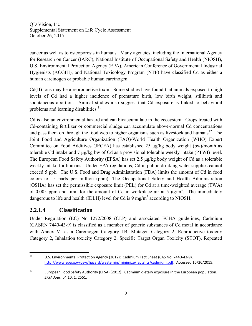cancer as well as to osteoporosis in humans. Many agencies, including the International Agency for Research on Cancer (IARC), National Institute of Occupational Safety and Health (NIOSH), U.S. Environmental Protection Agency (EPA), American Conference of Governmental Industrial Hygienists (ACGIH), and National Toxicology Program (NTP) have classified Cd as either a human carcinogen or probable human carcinogen.

Cd(II) ions may be a reproductive toxin. Some studies have found that animals exposed to high levels of Cd had a higher incidence of premature birth, low birth weight, stillbirth and spontaneous abortion. Animal studies also suggest that Cd exposure is linked to behavioral problems and learning disabilities. $11$ 

Cd is also an environmental hazard and can bioaccumulate in the ecosystem. Crops treated with Cd-containing fertilizer or commercial sludge can accumulate above-normal Cd concentrations and pass them on through the food web to higher organisms such as livestock and humans<sup>12</sup> The Joint Food and Agriculture Organization (FAO)/World Health Organization (WHO) Expert Committee on Food Additives (JECFA) has established 25 μg/kg body weight (bw)/month as tolerable Cd intake and 7 μg/kg bw of Cd as a provisional tolerable weekly intake (PTWI) level. The European Food Safety Authority (EFSA) has set 2.5 μg/kg body weight of Cd as a tolerable weekly intake for humans. Under EPA regulations, Cd in public drinking water supplies cannot exceed 5 ppb. The U.S. Food and Drug Administration (FDA) limits the amount of Cd in food colors to 15 parts per million (ppm). The Occupational Safety and Health Administration (OSHA) has set the permissible exposure limit (PEL) for Cd at a time-weighted average (TWA) of 0.005 ppm and limit for the amount of Cd in workplace air at 5  $\mu$ g/m<sup>3</sup>. The immediately dangerous to life and health (IDLH) level for Cd is 9 mg/m<sup>3</sup> according to NIOSH.

### **2.2.1.4 Classification**

Under Regulation (EC) No 1272/2008 (CLP) and associated ECHA guidelines, Cadmium (CASRN 7440-43-9) is classified as a member of generic substances of Cd metal in accordance with Annex VI as a Carcinogen Category 1B, Mutagen Category 2, Reproductive toxicity Category 2, Inhalation toxicity Category 2, Specific Target Organ Toxicity (STOT), Repeated

 <sup>11</sup> U.S. Environmental Protection Agency (2012): Cadmium Fact Sheet (CAS No. 7440‐43‐9). http://www.epa.gov/osw/hazard/wastemin/minimize/factshts/cadmium.pdf. Accessed 10/26/2015.

<sup>&</sup>lt;sup>12</sup> European Food Safety Authority (EFSA) (2012): Cadmium dietary exposure in the European population. *EFSA Journal,* 10, 1, 2551.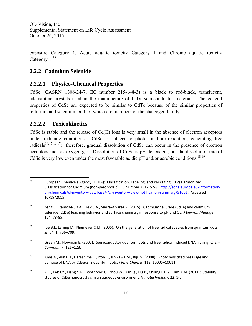exposure Category 1, Acute aquatic toxicity Category 1 and Chronic aquatic toxicity Category  $1<sup>13</sup>$ 

### **2.2.2 Cadmium Selenide**

#### **2.2.2.1 Physico-Chemical Properties**

CdSe (CASRN 1306-24-7; EC number 215-148-3) is a black to red-black, translucent, adamantine crystals used in the manufacture of II-IV semiconductor material. The general properties of CdSe are expected to be similar to CdTe because of the similar properties of tellurium and selenium, both of which are members of the chalcogen family.

#### **2.2.2.2 Toxicokinetics**

CdSe is stable and the release of Cd(II) ions is very small in the absence of electron acceptors under reducing conditions. CdSe is subject to photo- and air-oxidation, generating free radicals<sup>14,15,16,17</sup>: therefore, gradual dissolution of CdSe can occur in the presence of electron acceptors such as oxygen gas. Dissolution of CdSe is pH-dependent, but the dissolution rate of CdSe is very low even under the most favorable acidic pH and/or aerobic conditions.<sup>18,19</sup>

 <sup>13</sup> European Chemicals Agency (ECHA): Classification, Labeling, and Packaging (CLP) Harmonized Classification for Cadmium (non‐pyrophoric); EC Number 231‐152‐8. http://echa.europa.eu/information‐ on‐chemicals/cl‐inventory‐database/‐/cl‐inventory/view‐notification‐summary/51061. Accessed 10/19/2015.

<sup>14</sup> Zeng C., Ramos‐Ruiz A., Field J.A., Sierra‐Alvarez R. (2015): Cadmium telluride (CdTe) and cadmium selenide (CdSe) leaching behavior and surface chemistry in response to pH and O2. *J Environ Manage*, 154, 78‐85.

<sup>&</sup>lt;sup>15</sup> Ipe B.I., Lehnig M., Niemeyer C.M. (2005): On the generation of free radical species from quantum dots. *Small*, 1, 706–709.

<sup>16</sup> Green M., Howman E. (2005): Semiconductor quantum dots and free radical induced DNA nicking. *Chem Commun*, 7, 121–123.

<sup>17</sup> Anas A., Akita H., Harashima H., Itoh T., Ishikawa M., Biju V. (2008): Photosensitized breakage and damage of DNA by CdSe/ZnS quantum dots. *J Phys Chem B*, 112, 10005–10011.

<sup>&</sup>lt;sup>18</sup> Xi L., Lek J.Y., Liang Y.N., Boothroyd C., Zhou W., Yan Q., Hu X., Chiang F.B.Y., Lam Y.M. (2011): Stability studies of CdSe nanocrystals in an aqueous environment. *Nanotechnology,* 22, 1‐5.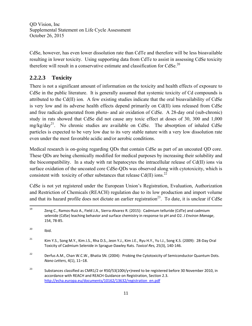CdSe, however, has even lower dissolution rate than CdTe and therefore will be less bioavailable resulting in lower toxicity. Using supporting data from CdTe to assist in assessing CdSe toxicity therefore will result in a conservative estimate and classification for  $C dSe$ <sup>20</sup>

# **2.2.2.3 Toxicity**

There is not a significant amount of information on the toxicity and health effects of exposure to CdSe in the public literature. It is generally assumed that systemic toxicity of Cd compounds is attributed to the Cd(II) ion. A few existing studies indicate that the oral bioavailability of CdSe is very low and its adverse health effects depend primarily on Cd(II) ions released from CdSe and free radicals generated from photo- and air oxidation of CdSe. A 28-day oral (sub-chronic) study in rats showed that CdSe did not cause any toxic effect at doses of 30, 300 and 1,000  $mg/kg/day<sup>21</sup>$ . No chronic studies are available on CdSe. The absorption of inhaled CdSe particles is expected to be very low due to its very stable nature with a very low dissolution rate even under the most favorable acidic and/or aerobic conditions.

Medical research is on-going regarding QDs that contain CdSe as part of an uncoated QD core. These QDs are being chemically modified for medical purposes by increasing their solubility and the biocompatibility. In a study with rat hepatocytes the intracellular release of Cd(II) ions via surface oxidation of the uncoated core CdSe-QDs was observed along with cytotoxicity, which is consistent with toxicity of other substances that release Cd(II) ions.<sup>22</sup>

CdSe is not yet registered under the European Union's Registration, Evaluation, Authorization and Restriction of Chemicals (REACH) regulation due to its low production and import volume and that its hazard profile does not dictate an earlier registration<sup>23</sup>. To date, it is unclear if CdSe

<sup>&</sup>lt;sup>19</sup> Zeng C., Ramos-Ruiz A., Field J.A., Sierra-Alvarez R. (2015): Cadmium telluride (CdTe) and cadmium selenide (CdSe) leaching behavior and surface chemistry in response to pH and O2. *J Environ Manage*, 154, 78‐85.

 $^{20}$  Ibid.

<sup>&</sup>lt;sup>21</sup> Kim Y.S., Song M.Y., Kim J.S., Rha D.S., Jeon Y.J., Kim J.E., Ryu H.Y., Yu I.J., Song K.S. (2009): 28-Day Oral Toxicity of Cadmium Selenide in Sprague‐Dawley Rats. *Toxicol Res,* 25(3), 140‐146.

<sup>&</sup>lt;sup>22</sup> Derfus A.M., Chan W.C.W., Bhatia SN. (2004): Probing the Cytotoxicity of Semiconductor Quantum Dots. *Nano Letters*, 4(1), 11–18.

<sup>&</sup>lt;sup>23</sup> Substances classified as CMR1/2 or R50/53(100t/y+)need to be registered before 30 November 2010, in accordance with REACH and REACH Guidance on Registration, Section 2.3. http://echa.europa.eu/documents/10162/13632/registration\_en.pdf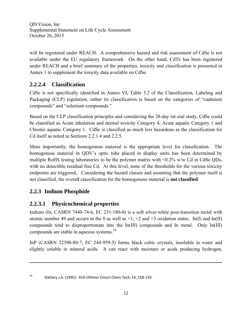will be registered under REACH. A comprehensive hazard and risk assessment of CdSe is not available under the EU regulatory framework. On the other hand, CdTe has been registered under REACH and a brief summary of the properties, toxicity and classification is presented in Annex 1 to supplement the toxicity data available on CdSe.

# **2.2.2.4 Classification**

CdSe is not specifically identified in Annex VI, Table 3.2 of the Classification, Labeling and Packaging (CLP) regulation, rather its classification is based on the categories of "cadmium compounds" and "selenium compounds."

Based on the CLP classification principles and considering the 28-day rat oral study, CdSe could be classified as Acute inhalation and dermal toxicity Category 4, Acute aquatic Category 1 and Chronic aquatic Category 1. CdSe is classified as much less hazardous as the classification for Cd itself as noted in Sections 2.2.1.4 and 2.2.5.

More importantly, the homogenous material is the appropriate level for classification. The homogenous material in QDV's optic tube placed in display units has been determined by multiple RoHS testing laboratories to be the polymer matrix with <0.2% w/w Cd in CdSe QDs, with no detectible residual free Cd. At this level, none of the thresholds for the various toxicity endpoints are triggered,. Considering the hazard classes and assuming that the polymer itself is not classified, the overall classification for the homogenous material is **not classified**.

# **2.2.3 Indium Phosphide**

# **2.2.3.1 Physicochemical properties**

Indium (In; CASRN 7440-74-6, EC 231-180-0) is a soft silver-white post-transition metal with atomic number 49 and occurs in the 0 as well as  $+1$ ,  $+2$  and  $+3$  oxidation states. In(I) and In(II) compounds tend to disproportionate into the In(III) compounds and In metal. Only In(III) compounds are stable in aqueous systems.<sup>24</sup>

InP (CASRN 22398-80-7, EC 244-959-5) forms black cubic crystals, insoluble in water and slightly soluble in mineral acids. It can react with moisture or acids producing hydrogen,

<u> 1989 - Johann Stein, marwolaethau a gweledydd a ganrad y ganrad y ganrad y ganrad y ganrad y ganrad y ganrad</u>

<sup>24</sup> Slattery J.A. (1995): *Kirk‐Othmer Encycl Chem Tech*, 14, 158‐159.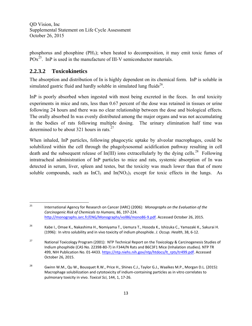phosphorus and phosphine (PH3); when heated to decomposition, it may emit toxic fumes of  $POx^{25}$ . InP is used in the manufacture of III-V semiconductor materials.

## **2.2.3.2 Toxicokinetics**

The absorption and distribution of In is highly dependent on its chemical form. InP is soluble in simulated gastric fluid and hardly soluble in simulated lung fluids $^{26}$ .

InP is poorly absorbed when ingested with most being excreted in the feces. In oral toxicity experiments in mice and rats, less than 0.67 percent of the dose was retained in tissues or urine following 24 hours and there was no clear relationship between the dose and biological effects. The orally absorbed In was evenly distributed among the major organs and was not accumulating in the bodies of rats following multiple dosing. The urinary elimination half time was determined to be about 321 hours in rats. $27$ 

When inhaled, InP particles, following phagocytic uptake by alveolar macrophages, could be solubilized within the cell through the phagolysosomal acidification pathway resulting in cell death and the subsequent release of In(III) ions extracellularly by the dying cells.<sup>28</sup> Following intratracheal administration of InP particles to mice and rats, systemic absorption of In was detected in serum, liver, spleen and testes, but the toxicity was much lower than that of more soluble compounds, such as  $InCl<sub>3</sub>$  and  $In(NO<sub>3</sub>)<sub>3</sub>$  except for toxic effects in the lungs. As

 <sup>25</sup> International Agency for Research on Cancer (IARC) (2006): *Monographs on the Evaluation of the Carcinogenic Risk of Chemicals to Humans,* 86, 197‐224. http://monographs.iarc.fr/ENG/Monographs/vol86/mono86‐9.pdf. Accessed October 26, 2015.

<sup>26</sup> Kabe I., Omae K., Nakashima H., Nomiyama T., Uemura T., Hosoda K., Ishizuka C., Yamazaki K., Sakurai H. (1996): In vitro solubility and in vivo toxicity of indium phosphide. *J. Occup. Health*, 38, 6‐12.

<sup>&</sup>lt;sup>27</sup> National Toxicology Program (2001): NTP Technical Report on the Toxicology & Carcinogenesis Studies of Indium phosphide (CAS No. 22398‐80‐7) in F344/N Rats and B6C3F1 Mice (Inhalation studies). NTP TR 499, NIH Publication No. 01-4433. https://ntp.niehs.nih.gov/ntp/htdocs/lt\_rpts/tr499.pdf. Accessed October 26, 2015.

<sup>&</sup>lt;sup>28</sup> Gwinn W.M., Qu W., Bousquet R.W., Price H., Shines C.J., Taylor G.J., Waalkes M.P., Morgan D.L. (2015): Macrophage solubilization and cytotoxicity of indium‐containing particles as in vitro correlates to pulmonary toxicity in vivo. *Toxicol Sci*, 144, 1, 17‐26.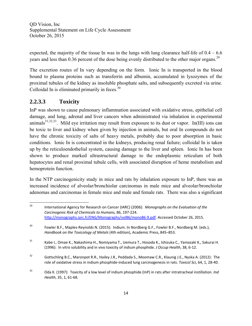expected, the majority of the tissue In was in the lungs with lung clearance half-life of  $0.4 - 6.6$ years and less than 0.36 percent of the dose being evenly distributed to the other major organs.<sup>29</sup>

The excretion routes of In vary depending on the form. Ionic In is transported in the blood bound to plasma proteins such as transferrin and albumin, accumulated in lysozymes of the proximal tubules of the kidney as insoluble phosphate salts, and subsequently excreted via urine. Colloidal In is eliminated primarily in feces. $30$ 

# **2.2.3.3 Toxicity**

InP was shown to cause pulmonary inflammation associated with oxidative stress, epithelial cell damage, and lung, adrenal and liver cancers when administrated via inhalation in experimental animals<sup>31,32,33</sup>. Mild eye irritation may result from exposure to its dust or vapor. In(III) ions can be toxic to liver and kidney when given by injection in animals, but oral In compounds do not have the chronic toxicity of salts of heavy metals, probably due to poor absorption in basic conditions. Ionic In is concentrated in the kidneys, producing renal failure; colloidal In is taken up by the reticuloendothelial system, causing damage to the liver and spleen. Ionic In has been shown to produce marked ultrastructural damage to the endoplasmic reticulum of both hepatocytes and renal proximal tubule cells, with associated disruption of heme metabolism and hemoprotein function.

In the NTP carcinogenicity study in mice and rats by inhalation exposure to InP, there was an increased incidence of alveolar/bronchiolar carcinomas in male mice and alveolar/bronchiolar adenomas and carcinomas in female mice and male and female rats. There was also a significant

 <sup>29</sup> International Agency for Research on Cancer (IARC) (2006): *Monographs on the Evaluation of the Carcinogenic Risk of Chemicals to Humans,* 86, 197‐224. http://monographs.iarc.fr/ENG/Monographs/vol86/mono86‐9.pdf. Accessed October 26, 2015.

<sup>&</sup>lt;sup>30</sup> Fowler B.F., Maples-Reynolds N. (2015): Indium. In Nordberg G.F., Fowler B.F., Nordberg M. (eds.), *Handbook on the Toxicology of Metals* (4th edition), Academic Press, 845–853.

<sup>31</sup> Kabe I., Omae K., Nakashima H., Nomiyama T., Uemura T., Hosoda K., Ishizuka C., Yamazaki K., Sakurai H. (1996): In vitro solubility and in vivo toxicity of indium phosphide. *J Occup Health*, 38, 6‐12.

<sup>&</sup>lt;sup>32</sup> Gottschling B.C., Maronpot R.R., Hailey J.R., Peddada S., Moomaw C.R., Klaunig J.E., Nyska A. (2012): The role of oxidative stress in indium phosphide‐induced lung carcinogenesis in rats. *Toxicol Sci*, 64, 1, 28‐40.

<sup>33</sup> Oda K. (1997): Toxicity of a low level of indium phosphide (InP) in rats after intratracheal instillation. *Ind Health*, 35, 1, 61‐68.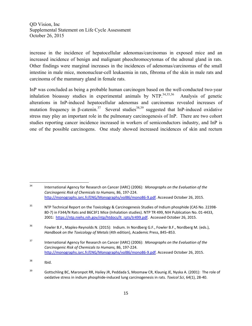increase in the incidence of hepatocellular adenomas/carcinomas in exposed mice and an increased incidence of benign and malignant pheochromocytomas of the adrenal gland in rats. Other findings were marginal increases in the incidences of adenomas/carcinomas of the small intestine in male mice, mononuclear-cell leukaemia in rats, fibroma of the skin in male rats and carcinoma of the mammary gland in female rats.

InP was concluded as being a probable human carcinogen based on the well-conducted two-year inhalation bioassay studies in experimental animals by  $NTP$ .<sup>34,35,36</sup> Analysis of genetic alterations in InP-induced hepatocellular adenomas and carcinomas revealed increases of mutation frequency in  $\beta$ -catenin.<sup>37</sup> Several studies<sup>38,39</sup> suggested that InP-induced oxidative stress may play an important role in the pulmonary carcinogenesis of InP. There are two cohort studies reporting cancer incidence increased in workers of semiconductors industry, and InP is one of the possible carcinogens. One study showed increased incidences of skin and rectum

<sup>34</sup> International Agency for Research on Cancer (IARC) (2006): *Monographs on the Evaluation of the Carcinogenic Risk of Chemicals to Humans,* 86, 197‐224. http://monographs.iarc.fr/ENG/Monographs/vol86/mono86‐9.pdf. Accessed October 26, 2015.

<sup>&</sup>lt;sup>35</sup> NTP Technical Report on the Toxicology & Carcinogenesis Studies of Indium phosphide (CAS No. 22398-80-7) in F344/N Rats and B6C3F1 Mice (Inhalation studies). NTP TR 499, NIH Publication No. 01-4433, 2001: https://ntp.niehs.nih.gov/ntp/htdocs/lt\_rpts/tr499.pdf. Accessed October 26, 2015.

<sup>&</sup>lt;sup>36</sup> Fowler B.F., Maples-Reynolds N. (2015): Indium. In Nordberg G.F., Fowler B.F., Nordberg M. (eds.), *Handbook on the Toxicology of Metals* (4th edition), Academic Press, 845–853.

<sup>37</sup> International Agency for Research on Cancer (IARC) (2006): *Monographs on the Evaluation of the Carcinogenic Risk of Chemicals to Humans,* 86, 197‐224. http://monographs.iarc.fr/ENG/Monographs/vol86/mono86‐9.pdf. Accessed October 26, 2015.

 $38$  Ibid.

<sup>&</sup>lt;sup>39</sup> Gottschling BC, Maronpot RR, Hailey JR, Peddada S, Moomaw CR, Klaunig JE, Nyska A. (2001): The role of oxidative stress in indium phosphide‐induced lung carcinogenesis in rats. *Toxicol Sci*, 64(1), 28‐40.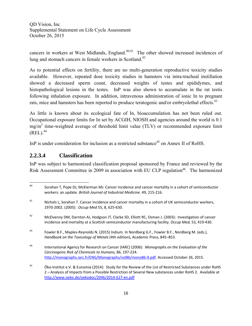cancers in workers at West Midlands, England.<sup>40,41</sup> The other showed increased incidences of lung and stomach cancers in female workers in Scotland.<sup>42</sup>

As to potential effects on fertility, there are no multi-generation reproductive toxicity studies available. However, repeated dose toxicity studies in hamsters via intra-tracheal instillation showed a decreased sperm count, decreased weights of testes and epididymes, and histopathological lesions in the testes. InP was also shown to accumulate in the rat testis following inhalation exposure. In addition, intravenous administration of ionic In to pregnant rats, mice and hamsters has been reported to produce teratogenic and/or embryolethal effects.<sup>43</sup>

As little is known about its ecological fate of In, bioaccumulation has not been ruled out. Occupational exposure limits for In set by ACGIH, NIOSH and agencies around the world is 0.1  $mg/m<sup>3</sup>$  time-weighted average of threshold limit value (TLV) or recommended exposure limit  $(REL)$ .<sup>44</sup>

InP is under consideration for inclusion as a restricted substance<sup>45</sup> on Annex II of RoHS.

## **2.2.3.4 Classification**

InP was subject to harmonized classification proposal sponsored by France and reviewed by the Risk Assessment Committee in 2009 in association with EU CLP regulation<sup>46</sup>. The harmonized

 <sup>40</sup> Sorahan T, Pope DJ, McKierman MJ. Cancer incidence and cancer mortality in a cohort of semiconductor workers: an update. *British Journal of Industrial Medicine*. 49, 215‐216.

<sup>&</sup>lt;sup>41</sup> Nichols L, Sorahan T. Cancer incidence and cancer mortality in a cohort of UK semiconductor workers, 1970‐2002. (2005): *Occup Med* 55, 8, 625‐630.

<sup>&</sup>lt;sup>42</sup> McElvenny DM, Darnton AJ, Hodgson JT, Clarke SD, Elliott RC, Osman J. (2003): Investigation of cancer incidence and mortality at a Scottish semiconductor manufacturing facility. *Occup Med,* 53, 419‐430.

<sup>43</sup> Fowler B.F., Maples‐Reynolds N. (2015) Indium. In Nordberg G.F., Fowler B.F., Nordberg M. (eds.), *Handbook on the Toxicology of Metals* (4th edition), Academic Press, 845–853.

<sup>44</sup> International Agency for Research on Cancer (IARC) (2006): *Monographs on the Evaluation of the Carcinogenic Risk of Chemicals to Humans,* 86, 197‐224. http://monographs.iarc.fr/ENG/Monographs/vol86/mono86‐9.pdf. Accessed October 26, 2015.

<sup>&</sup>lt;sup>45</sup> Öko-Institut e.V. & Eunomia (2014): Study for the Review of the List of Restricted Substances under RoHS 2 – Analysis of Impacts from a Possible Restriction of Several New substances under RoHS 2. Available at http://www.oeko.de/oekodoc/2046/2014‐627‐en.pdf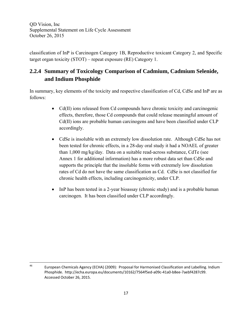classification of InP is Carcinogen Category 1B, Reproductive toxicant Category 2, and Specific target organ toxicity (STOT) – repeat exposure (RE) Category 1.

# **2.2.4 Summary of Toxicology Comparison of Cadmium, Cadmium Selenide, and Indium Phosphide**

In summary, key elements of the toxicity and respective classification of Cd, CdSe and InP are as follows:

- Cd(II) ions released from Cd compounds have chronic toxicity and carcinogenic effects, therefore, those Cd compounds that could release meaningful amount of Cd(II) ions are probable human carcinogens and have been classified under CLP accordingly.
- CdSe is insoluble with an extremely low dissolution rate. Although CdSe has not been tested for chronic effects, in a 28-day oral study it had a NOAEL of greater than 1,000 mg/kg/day. Data on a suitable read-across substance, CdTe (see Annex 1 for additional information) has a more robust data set than CdSe and supports the principle that the insoluble forms with extremely low dissolution rates of Cd do not have the same classification as Cd. CdSe is not classified for chronic health effects, including carcinogenicity, under CLP.
- InP has been tested in a 2-year bioassay (chronic study) and is a probable human carcinogen. It has been classified under CLP accordingly.

 <sup>46</sup> European Chemicals Agency (ECHA) (2009): Proposal for Harmonised Classification and Labelling. Indium Phosphide. http://echa.europa.eu/documents/10162/7564f5ed‐a09c‐41a0‐b8ee‐7aebf4287c99. Accessed October 26, 2015.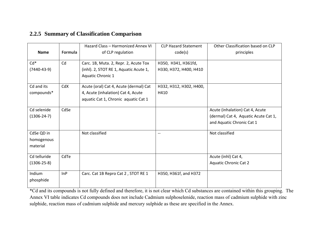#### **2.2.5 Summary of Classification Comparison**

|                   |         | Hazard Class - Harmonized Annex VI     | <b>CLP Hazard Statement</b> | Other Classification based on CLP    |
|-------------------|---------|----------------------------------------|-----------------------------|--------------------------------------|
| <b>Name</b>       | Formula | of CLP regulation                      | code(s)                     | principles                           |
| $Cd*$             | Cd      | Carc. 1B, Muta. 2, Repr. 2, Acute Tox  | H350, H341, H361fd,         |                                      |
| $(7440-43-9)$     |         | (inhl). 2, STOT RE 1, Aquatic Acute 1, | H330, H372, H400, H410      |                                      |
|                   |         | Aquatic Chronic 1                      |                             |                                      |
| Cd and its        | CdX     | Acute (oral) Cat 4, Acute (dermal) Cat | H332, H312, H302, H400,     |                                      |
| compounds*        |         | 4, Acute (inhalation) Cat 4, Acute     | H410                        |                                      |
|                   |         | aquatic Cat 1, Chronic aquatic Cat 1   |                             |                                      |
| Cd selenide       | CdSe    |                                        |                             | Acute (inhalation) Cat 4, Acute      |
| $(1306-24-7)$     |         |                                        |                             | (dermal) Cat 4, Aquatic Acute Cat 1, |
|                   |         |                                        |                             | and Aquatic Chronic Cat 1            |
| CdSe QD in        |         | Not classified                         | $-$                         | Not classified                       |
| homogenous        |         |                                        |                             |                                      |
| material          |         |                                        |                             |                                      |
| Cd telluride      | CdTe    |                                        |                             | Acute (inhl) Cat 4,                  |
| $(1306 - 25 - 8)$ |         |                                        |                             | <b>Aquatic Chronic Cat 2</b>         |
| Indium            | InP     | Carc. Cat 1B Repro Cat 2, STOT RE 1    | H350, H361f, and H372       |                                      |
| phosphide         |         |                                        |                             |                                      |

\*Cd and its compounds is not fully defined and therefore, it is not clear which Cd substances are contained within this grouping. The Annex VI table indicates Cd compounds does not include Cadmium sulphoselenide, reaction mass of cadmium sulphide with zinc sulphide, reaction mass of cadmium sulphide and mercury sulphide as these are specified in the Annex.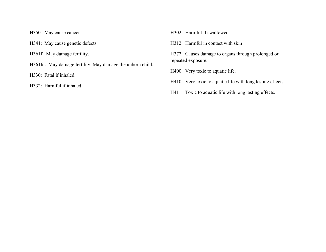H350: May cause cancer.

H341: May cause genetic defects.

H361f: May damage fertility.

H361fd: May damage fertility. May damage the unborn child.

H330: Fatal if inhaled.

H332: Harmful if inhaled

H302: Harmful if swallowed

H312: Harmful in contact with skin

H372: Causes damage to organs through prolonged or repeated exposure.

H400: Very toxic to aquatic life.

H410: Very toxic to aquatic life with long lasting effects

H411: Toxic to aquatic life with long lasting effects.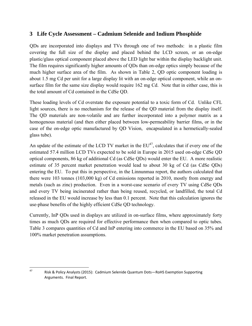## **3 Life Cycle Assessment – Cadmium Selenide and Indium Phosphide**

QDs are incorporated into displays and TVs through one of two methods: in a plastic film covering the full size of the display and placed behind the LCD screen, or an on-edge plastic/glass optical component placed above the LED light bar within the display backlight unit. The film requires significantly higher amounts of QDs than on-edge optics simply because of the much higher surface area of the film. As shown in Table 2, QD optic component loading is about 1.5 mg Cd per unit for a large display lit with an on-edge optical component, while an onsurface film for the same size display would require 162 mg Cd. Note that in either case, this is the total amount of Cd contained in the CdSe QD.

These loading levels of Cd overstate the exposure potential to a toxic form of Cd. Unlike CFL light sources, there is no mechanism for the release of the QD material from the display itself. The QD materials are non-volatile and are further incorporated into a polymer matrix as a homogenous material (and then either placed between low-permeability barrier films, or in the case of the on-edge optic manufactured by QD Vision, encapsulated in a hermetically-sealed glass tube).

An update of the estimate of the LCD TV market in the  $EU^{47}$ , calculates that if every one of the estimated 57.4 million LCD TVs expected to be sold in Europe in 2015 used on-edge CdSe QD optical components, 86 kg of additional Cd (as CdSe QDs) would enter the EU. A more realistic estimate of 35 percent market penetration would lead to about 30 kg of Cd (as CdSe QDs) entering the EU. To put this in perspective, in the Linnunmaa report, the authors calculated that there were 103 tonnes (103,000 kg) of Cd emissions reported in 2010, mostly from energy and metals (such as zinc) production. Even in a worst-case scenario of every TV using CdSe QDs and every TV being incinerated rather than being reused, recycled, or landfilled, the total Cd released in the EU would increase by less than 0.1 percent. Note that this calculation ignores the use-phase benefits of the highly efficient CdSe QD technology.

Currently, InP QDs used in displays are utilized in on-surface films, where approximately forty times as much QDs are required for effective performance then when compared to optic tubes. Table 3 compares quantities of Cd and InP entering into commerce in the EU based on 35% and 100% market penetration assumptions.

 <sup>47</sup> Risk & Policy Analysts (2015): Cadmium Selenide Quantum Dots—RoHS Exemption Supporting Arguments. Final Report.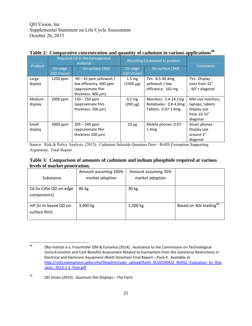| Product           | Required Cd in the homogenous<br>material |                                                                                                       |                                    | Resulting Cd amount in product                                      | <b>Comments</b>                                                                   |
|-------------------|-------------------------------------------|-------------------------------------------------------------------------------------------------------|------------------------------------|---------------------------------------------------------------------|-----------------------------------------------------------------------------------|
|                   | On edge<br>(QD Vision)                    | On surface (3M)                                                                                       | On edge<br>(QD Vision)             | On surface (3M)                                                     |                                                                                   |
| Large<br>display  | $1200$ ppm                                | $90 - 45$ ppm yellowish /<br>low efficiency: 600 ppm<br>(approximate film<br>thickness: $400 \mu m$ ) | $1.5 \text{ mg}$<br>$(1500 \mu g)$ | TVs: 8.5-40.4mg<br>yellowish / low<br>efficiency: 162 mg            | TVs: Display<br>sizes from 32"<br>- 60"+ diagonal                                 |
| Medium<br>display | 2000 ppm                                  | $150 - 250$ ppm<br>(approximate film<br>thickness: 200 µm)                                            | 0.2 <sub>mg</sub><br>$(200 \mu g)$ | Monitors: 2.4-14.1mg<br>Notebooks: 0.8-4.0mg<br>Tablets: 0.07-1.4mg | Mid-size monitors,<br>laptops, tablets<br>Display size<br>from 10-32"<br>diagonal |
| Small<br>display  | 3000 ppm                                  | $205 - 340$ ppm<br>(approximate film<br>thickness $100 \mu m$ )                                       | $10 \mu g$                         | Mobile phones: 0.07-<br>1.4mg                                       | Smart phones<br>Display size<br>around 3"<br>diagonal                             |

#### Table 2: Comparative concentration and quantity of cadmium in various applications<sup>48</sup>

Source: Risk & Policy Analysts. (2015): Cadmium Selenide Quantum Dots—RoHS Exemption Supporting Arguments. Final Report.

#### **Table 3: Comparison of amounts of cadmium and indium phosphide required at various levels of market penetration.**

| Substance                                | Amount assuming 100%<br>market adoption | Amount assuming 35%<br>market adoption |                                    |
|------------------------------------------|-----------------------------------------|----------------------------------------|------------------------------------|
| Cd (in CdSe QD on-edge<br>components)    | 86 kg                                   | 30 kg                                  |                                    |
| InP (in In-based QD on-<br>surface film) | 3,400 kg                                | 1,200 kg                               | Based on 40x loading <sup>49</sup> |

 48  **Öko-Institut e.v, Fraunhofer IZM & Eunomia (2014):** Assistance to the Commission on Technological Socio‐Economic and Cost‐Benefits Assessment Related to Exemptions from the Substance Restrictions in Electrical and Electronic Equipment (RoHS Directive) Final Report – Pack 4. Available at http://rohs.exemptions.oeko.info/fileadmin/user\_upload/RoHS\_IX/20140422\_RoHS2\_Evaluation\_Ex\_Req uests 2013-1-5 final.pdf

<sup>49</sup> QD Vision (2015): Quantum Dot Displays – The Facts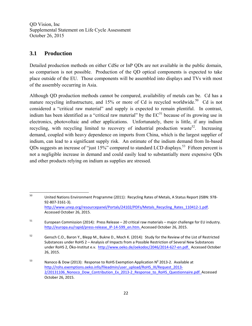#### **3.1 Production**

Detailed production methods on either CdSe or InP QDs are not available in the public domain, so comparison is not possible. Production of the QD optical components is expected to take place outside of the EU. Those components will be assembled into displays and TVs with most of the assembly occurring in Asia.

Although QD production methods cannot be compared, availability of metals can be. Cd has a mature recycling infrastructure, and  $15%$  or more of Cd is recycled worldwide.<sup>50</sup> Cd is not considered a "critical raw material" and supply is expected to remain plentiful. In contrast, indium has been identified as a "critical raw material" by the  $EC^{51}$  because of its growing use in electronics, photovoltaic and other applications. Unfortunately, there is little, if any indium recycling, with recycling limited to recovery of industrial production waste<sup>52</sup>. Increasing demand, coupled with heavy dependence on imports from China, which is the largest supplier of indium, can lead to a significant supply risk. An estimate of the indium demand from In-based QDs suggests an increase of "just 15%" compared to standard LCD displays.<sup>53</sup> Fifteen percent is not a negligible increase in demand and could easily lead to substantially more expensive QDs and other products relying on indium as supplies are stressed.

 50  **United Nations Environment Programme (2011): Recycling Rates of Metals, A Status Report (ISBN: 978-**92‐807‐3161‐3). http://www.unep.org/resourcepanel/Portals/24102/PDFs/Metals\_Recycling\_Rates\_110412-1.pdf. Accessed October 26, 2015.

 $51$  European Commission (2014): Press Release – 20 critical raw materials – major challenge for EU industry. http://europa.eu/rapid/press-release IP-14-599 en.htm. Accessed October 26, 2015.

<sup>52</sup> Gensch C.O., Baron Y., Blepp M., Bukne D., Moch K. (2014): Study for the Review of the List of Restricted Substances under RoHS 2 – Analysis of Impacts from a Possible Restriction of Several New Substances under RoHS 2, Öko‐Institut e.v. http://www.oeko.de/oekodoc/2046/2014‐627‐en.pdf. Accessed October 26, 2015.

<sup>53</sup> Nanoco & Dow (2013): Response to RoHS Exemption Application  $N^2$  2013-2. Available at http://rohs.exemptions.oeko.info/fileadmin/user\_upload/RoHS\_IX/Request\_2013-2/20131106 Nonoco Dow Contribution Ex 2013-2 Response to RoHS Questionnaire.pdf. Accessed October 26, 2015.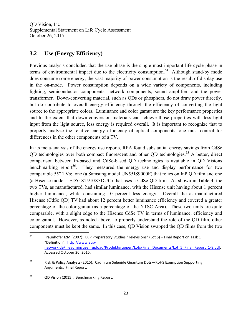## **3.2 Use (Energy Efficiency)**

Previous analysis concluded that the use phase is the single most important life-cycle phase in terms of environmental impact due to the electricity consumption.<sup>54</sup> Although stand-by mode does consume some energy, the vast majority of power consumption is the result of display use in the on-mode. Power consumption depends on a wide variety of components, including lighting, semiconductor components, network components, sound amplifier, and the power transformer. Down-converting material, such as QDs or phosphors, do not draw power directly, but do contribute to overall energy efficiency through the efficiency of converting the light source to the appropriate colors. Luminance and color gamut are the key performance properties and to the extent that down-conversion materials can achieve those properties with less light input from the light source, less energy is required overall. It is important to recognize that to properly analyze the relative energy efficiency of optical components, one must control for differences in the other components of a TV.

In its meta-analysis of the energy use reports, RPA found substantial energy savings from CdSe QD technologies over both compact fluorescent and other QD technologies.<sup>55</sup> A better, direct comparison between In-based and CdSe-based QD technologies is available in QD Visions benchmarking report<sup>56</sup>. They measured the energy use and display performance for two comparable 55" TVs: one (a Samsung model UN55JS9000F) that relies on InP QD film and one (a Hisense model LED55XT910X3DUC) that uses a CdSe QD film. As shown in Table 4, the two TVs, as manufactured, had similar luminance, with the Hisense unit having about 1 percent higher luminance, while consuming 10 percent less energy. Overall the as-manufactured Hisense (CdSe QD) TV had about 12 percent better luminance efficiency and covered a greater percentage of the color gamut (as a percentage of the NTSC Area). These two units are quite comparable, with a slight edge to the Hisense CdSe TV in terms of luminance, efficiency and color gamut. However, as noted above, to properly understand the role of the QD film, other components must be kept the same. In this case, QD Vision swapped the QD films from the two

<sup>54</sup> Fraunhofer IZM (2007): EuP Preparatory Studies "Televisions" (Lot 5) – Final Report on Task 1 "Definition". http://www.eup‐ network.de/fileadmin/user\_upload/Produktgruppen/Lots/Final\_Documents/Lot\_5\_Final\_Report\_1-8.pdf. Accessed October 26, 2015.

<sup>55</sup> Risk & Policy Analysts (2015). Cadmium Selenide Quantum Dots—RoHS Exemption Supporting Arguments. Final Report.

<sup>56</sup> QD Vision (2015): Benchmarking Report.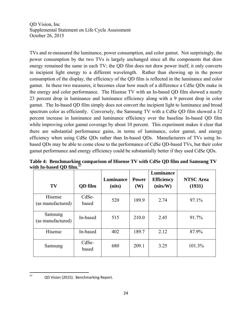TVs and re-measured the luminance, power consumption, and color gamut. Not surprisingly, the power consumption by the two TVs is largely unchanged since all the components that draw energy remained the same in each TV; the QD film does not draw power itself, it only converts in incipient light energy to a different wavelength. Rather than showing up in the power consumption of the display, the efficiency of the QD film is reflected in the luminance and color gamut. In these two measures, it becomes clear how much of a difference a CdSe QDs make in the energy and color performance. The Hisense TV with an In-based QD film showed a nearly 23 percent drop in luminance and luminance efficiency along with a 9 percent drop in color gamut. The In-based QD film simply does not convert the incipient light to luminance and broad spectrum color as efficiently. Conversely, the Samsung TV with a CdSe QD film showed a 32 percent increase in luminance and luminance efficiency over the baseline In-based QD film while improving color gamut coverage by about 10 percent. This experiment makes it clear that there are substantial performance gains, in terms of luminance, color gamut, and energy efficiency when using CdSe QDs rather than In-based QDs. Manufacturers of TVs using Inbased QDs may be able to come close to the performance of CdSe QD-based TVs, but their color gamut performance and energy efficiency could be substantially better if they used CdSe QDs.

**Table 4: Benchmarking comparison of Hisense TV with CdSe QD film and Samsung TV**  with In-based OD film.<sup>5</sup>

| TV                           | <b>QD</b> film | Luminance<br>(nits) | <b>Power</b><br><b>(W)</b> | Luminance<br><b>Efficiency</b><br>(nits/W) | <b>NTSC</b> Area<br>(1931) |
|------------------------------|----------------|---------------------|----------------------------|--------------------------------------------|----------------------------|
| Hisense<br>(as manufactured) | CdSe-<br>based | 520                 | 189.9                      | 2.74                                       | 97.1%                      |
| Samsung<br>(as manufactured) | In-based       | 515                 | 210.0                      | 2.45                                       | 91.7%                      |
| Hisense                      | In-based       | 402                 | 189.7                      | 2.12                                       | 87.9%                      |
| Samsung                      | CdSe-<br>based | 680                 | 209.1                      | 3.25                                       | 101.3%                     |

 <sup>57</sup> QD Vision (2015): Benchmarking Report.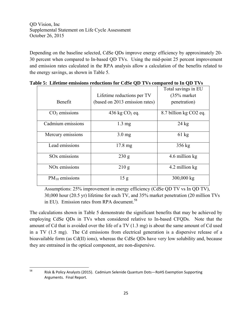Depending on the baseline selected, CdSe QDs improve energy efficiency by approximately 20- 30 percent when compared to In-based QD TVs. Using the mid-point 25 percent improvement and emission rates calculated in the RPA analysis allow a calculation of the benefits related to the energy savings, as shown in Table 5.

|                           |                                | Total savings in EU    |
|---------------------------|--------------------------------|------------------------|
|                           | Lifetime reductions per TV     | $(35%$ market          |
| Benefit                   | (based on 2013 emission rates) | penetration)           |
| $CO2$ emissions           | 436 kg $CO2$ eq.               | 8.7 billion kg CO2 eq. |
| Cadmium emissions         | $1.3 \text{ mg}$               | $24 \text{ kg}$        |
| Mercury emissions         | $3.0 \text{ mg}$               | $61 \text{ kg}$        |
| Lead emissions            | $17.8 \text{ mg}$              | 356 kg                 |
| SO <sub>x</sub> emissions | 230 g                          | 4.6 million kg         |
| NO <sub>x</sub> emissions | 210 g                          | 4.2 million kg         |
| $PM_{10}$ emissions       | 15 <sub>g</sub>                | 300,000 kg             |

**Table 5: Lifetime emissions reductions for CdSe QD TVs compared to In QD TVs** 

Assumptions: 25% improvement in energy efficiency (CdSe QD TV vs In QD TV), 30,000 hour (20.5 yr) lifetime for each TV, and 35% market penetration (20 million TVs in EU). Emission rates from RPA document.<sup>58</sup>

The calculations shown in Table 5 demonstrate the significant benefits that may be achieved by employing CdSe QDs in TVs when considered relative to In-based CFQDs. Note that the amount of Cd that is avoided over the life of a TV (1.3 mg) is about the same amount of Cd used in a TV (1.5 mg). The Cd emissions from electrical generation is a dispersive release of a bioavailable form (as Cd(II) ions), whereas the CdSe QDs have very low solubility and, because they are entrained in the optical component, are non-dispersive.

 <sup>58</sup> Risk & Policy Analysts (2015). Cadmium Selenide Quantum Dots—RoHS Exemption Supporting Arguments. Final Report.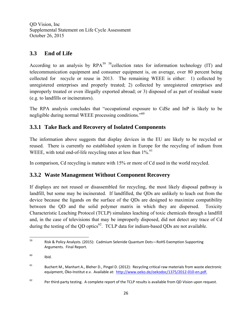## **3.3 End of Life**

According to an analysis by  $RPA<sup>59</sup>$  s<sup>8</sup>collection rates for information technology (IT) and telecommunication equipment and consumer equipment is, on average, over 80 percent being collected for recycle or reuse in 2013. The remaining WEEE is either: 1) collected by unregistered enterprises and properly treated; 2) collected by unregistered enterprises and improperly treated or even illegally exported abroad; or 3) disposed of as part of residual waste (e.g. to landfills or incinerators).

The RPA analysis concludes that "occupational exposure to CdSe and InP is likely to be negligible during normal WEEE processing conditions.<sup>560</sup>

### **3.3.1 Take Back and Recovery of Isolated Components**

The information above suggests that display devices in the EU are likely to be recycled or reused. There is currently no established system in Europe for the recycling of indium from WEEE, with total end-of-life recycling rates at less than  $1\%$ <sup>61</sup>

In comparison, Cd recycling is mature with 15% or more of Cd used in the world recycled.

### **3.3.2 Waste Management Without Component Recovery**

If displays are not reused or disassembled for recycling, the most likely disposal pathway is landfill, but some may be incinerated. If landfilled, the QDs are unlikely to leach out from the device because the ligands on the surface of the QDs are designed to maximize compatibility between the QD and the solid polymer matrix in which they are dispersed. Toxicity Characteristic Leaching Protocol (TCLP) simulates leaching of toxic chemicals through a landfill and, in the case of televisions that may be improperly disposed, did not detect any trace of Cd during the testing of the QD optics<sup>62</sup>. TCLP data for indium-based QDs are not available.

 <sup>59</sup> Risk & Policy Analysts. (2015): Cadmium Selenide Quantum Dots—RoHS Exemption Supporting Arguments. Final Report.

 $^{60}$  Ibid.

 $61$  Buchert M., Manhart A., Bleher D., Pingel D. (2012): Recycling critical raw materials from waste electronic equipment, Öko-Institut e.v. Available at: http://www.oeko.de/oekodoc/1375/2012-010-en.pdf.

 $62$  Per third-party testing. A complete report of the TCLP results is available from QD Vision upon request.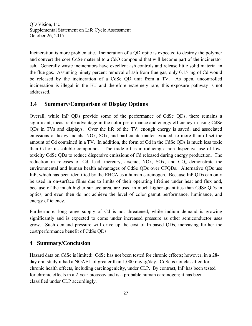Incineration is more problematic. Incineration of a QD optic is expected to destroy the polymer and convert the core CdSe material to a CdO compound that will become part of the incinerator ash. Generally waste incinerators have excellent ash controls and release little solid material in the flue gas. Assuming ninety percent removal of ash from flue gas, only 0.15 mg of Cd would be released by the incineration of a CdSe QD unit from a TV. As open, uncontrolled incineration is illegal in the EU and therefore extremely rare, this exposure pathway is not addressed.

#### **3.4 Summary/Comparison of Display Options**

Overall, while InP QDs provide some of the performance of CdSe QDs, there remains a significant, measurable advantage in the color performance and energy efficiency in using CdSe QDs in TVs and displays. Over the life of the TV, enough energy is saved, and associated emissions of heavy metals, NOx, SOx, and particulate matter avoided, to more than offset the amount of Cd contained in a TV. In addition, the form of Cd in the CdSe QDs is much less toxic than Cd or its soluble compounds. The trade-off is introducing a non-dispersive use of lowtoxicity CdSe QDs to reduce dispersive emissions of Cd released during energy production. The reduction in releases of Cd, lead, mercury, arsenic, NOx, SOx, and  $CO<sub>2</sub>$  demonstrate the environmental and human health advantages of CdSe QDs over CFQDs. Alternative QDs use InP, which has been identified by the EHCA as a human carcinogen. Because InP QDs can only be used in on-surface films due to limits of their operating lifetime under heat and flux and, because of the much higher surface area, are used in much higher quantities than CdSe QDs in optics, and even then do not achieve the level of color gamut performance, luminance, and energy efficiency.

Furthermore, long-range supply of Cd is not threatened, while indium demand is growing significantly and is expected to come under increased pressure as other semiconductor uses grow. Such demand pressure will drive up the cost of In-based QDs, increasing further the cost/performance benefit of CdSe QDs.

#### **4 Summary/Conclusion**

Hazard data on CdSe is limited: CdSe has not been tested for chronic effects; however, in a 28 day oral study it had a NOAEL of greater than 1,000 mg/kg/day. CdSe is not classified for chronic health effects, including carcinogenicity, under CLP. By contrast, InP has been tested for chronic effects in a 2-year bioassay and is a probable human carcinogen; it has been classified under CLP accordingly.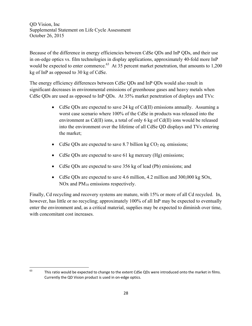Because of the difference in energy efficiencies between CdSe QDs and InP QDs, and their use in on-edge optics vs. film technologies in display applications, approximately 40-fold more InP would be expected to enter commerce.<sup>63</sup> At 35 percent market penetration, that amounts to  $1,200$ kg of InP as opposed to 30 kg of CdSe.

The energy efficiency differences between CdSe QDs and InP QDs would also result in significant decreases in environmental emissions of greenhouse gases and heavy metals when CdSe QDs are used as opposed to InP QDs. At 35% market penetration of displays and TVs:

- CdSe QDs are expected to save 24 kg of Cd(II) emissions annually. Assuming a worst case scenario where 100% of the CdSe in products was released into the environment as Cd(II) ions, a total of only 6 kg of Cd(II) ions would be released into the environment over the lifetime of all CdSe QD displays and TVs entering the market;
- CdSe QDs are expected to save 8.7 billion kg  $CO<sub>2</sub>$  eq. emissions;
- CdSe QDs are expected to save 61 kg mercury (Hg) emissions;
- CdSe QDs are expected to save 356 kg of lead (Pb) emissions; and
- CdSe ODs are expected to save 4.6 million, 4.2 million and 300,000 kg SOx, NOx and  $PM_{10}$  emissions respectively.

Finally, Cd recycling and recovery systems are mature, with 15% or more of all Cd recycled. In, however, has little or no recycling; approximately 100% of all InP may be expected to eventually enter the environment and, as a critical material, supplies may be expected to diminish over time, with concomitant cost increases.

  $63$  This ratio would be expected to change to the extent CdSe QDs were introduced onto the market in films. Currently the QD Vision product is used in on‐edge optics.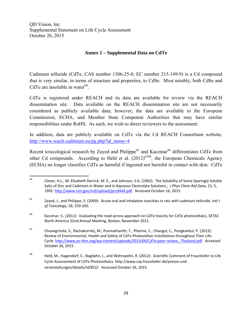#### **Annex 1 – Supplemental Data on CdTe**

Cadmium telluride (CdTe, CAS number 1306-25-8; EC number 215-149-9) is a Cd compound that is very similar, in terms of structure and properties, to CdSe. Most notably, both CdSe and CdTe are insoluble in water $^{64}$ .

CdTe is registered under REACH and its data are available for review via the REACH dissemination site. Data available on the REACH dissemination site are not necessarily considered as publicly available data; however, the data are available to the European Commission, ECHA, and Member State Competent Authorities that may have similar responsibilities under RoHS. As such, we wish to direct reviewers to the assessment.

In addition, data are publicly available on CdTe via the Cd REACH Consortium website, http://www.reach-cadmium.eu/pg.php?id\_menu=4

Recent toxicological research by Zayed and Philippe<sup>65</sup> and Kaczmar<sup>66</sup> differentiates CdTe from other Cd compounds. According to Held et al.  $(2012)^{6768}$ , the European Chemicals Agency (ECHA) no longer classifies CdTe as harmful if ingested nor harmful in contact with skin. CdTe

<sup>66</sup> Kaczmar, S., (2011): Evaluating the read‐across approach on CdTe toxicity for CdTe photovoltaics, SETAC North America 32nd Annual Meeting, Boston, November 2011.

 <sup>64</sup> Clever, H.L., M. Elizabeth Derrick, M. E., and Johnson, S.A. (1992): The Solubility of Some Sparingly Soluble Salts of Zinc and Cadmium in Water and in Aqueous Electrolyte Solutions., *J Phys Chem Ref Data*, 21, 5, 1992. http://www.nist.gov/srd/upload/jpcrd444.pdf. Accessed October 16, 2015.

<sup>65</sup> Zayed, J., and Philippe, S. (2009): Acute oral and inhalation toxicities in rats with cadmium telluride. *Intl J of Toxicology*, 28, 259‐265.

<sup>67</sup> Chuangchote, S., Rachakornkij, M., Punmatharith, T., Pharino, C., Changul, C., Pongkiatkul, P. (2012): Review of Environmental, Health and Safety of CdTe Photovoltaic Installations throughout Their Life‐ Cycle. http://www.pv‐thin.org/wp‐content/uploads/2013/09/CdTe‐peer‐review\_‐Thailand.pdf. Accessed October 26, 2015.

<sup>&</sup>lt;sup>68</sup> Held, M., Hagendorf, C., Bagdahn, J., and Wehrspohn, R. (2012): Scientific Comment of Fraunhofer to Life Cycle Assessement of CdTe Photovoltaics. http://www.csp.fraunhofer.de/presse‐und‐ veranstaltungen/details/id/852/. Accessed October 26, 2015.